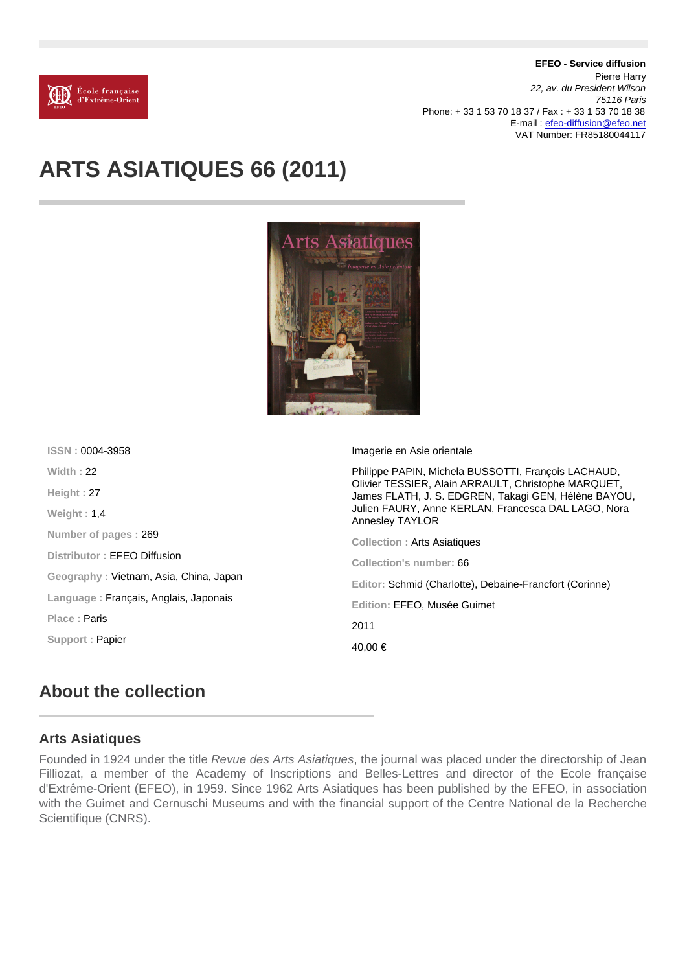EFEO - Service diffusion Pierre Harry 22, av. du President Wilson 75116 Paris Phone: + 33 1 53 70 18 37 / Fax : + 33 1 53 70 18 38 E-mail : [efeo-diffusion@efeo.net](mailto:efeo-diffusion@efeo.net) VAT Number: FR85180044117

# ARTS ASIATIQUES 66 (2011)

| ISSN: 0004-3958                        | Imagerie en Asie orientale                                                                                                                                                                                                                   |
|----------------------------------------|----------------------------------------------------------------------------------------------------------------------------------------------------------------------------------------------------------------------------------------------|
| Width: 22                              | Philippe PAPIN, Michela BUSSOTTI, François LACHAUD,<br>Olivier TESSIER, Alain ARRAULT, Christophe MARQUET,<br>James FLATH, J. S. EDGREN, Takagi GEN, Hélène BAYOU,<br>Julien FAURY, Anne KERLAN, Francesca DAL LAGO, Nora<br>Annesley TAYLOR |
| Height: 27                             |                                                                                                                                                                                                                                              |
| Weight: $1.4$                          |                                                                                                                                                                                                                                              |
| Number of pages: 269                   | Collection: Arts Asiatiques                                                                                                                                                                                                                  |
| Distributor: <b>EFEO Diffusion</b>     | Collection's number: 66                                                                                                                                                                                                                      |
| Geography: Vietnam, Asia, China, Japan | Editor: Schmid (Charlotte), Debaine-Francfort (Corinne)                                                                                                                                                                                      |
| Language: Français, Anglais, Japonais  | Edition: EFEO, Musée Guimet                                                                                                                                                                                                                  |
| Place: <b>Paris</b>                    | 2011                                                                                                                                                                                                                                         |
| Support: Papier                        |                                                                                                                                                                                                                                              |
|                                        | 40.00 €                                                                                                                                                                                                                                      |

### About the collection

#### Arts Asiatiques

Founded in 1924 under the title Revue des Arts Asiatiques, the journal was placed under the directorship of Jean Filliozat, a member of the Academy of Inscriptions and Belles-Lettres and director of the Ecole française d'Extrême-Orient (EFEO), in 1959. Since 1962 Arts Asiatiques has been published by the EFEO, in association with the Guimet and Cernuschi Museums and with the financial support of the Centre National de la Recherche Scientifique (CNRS).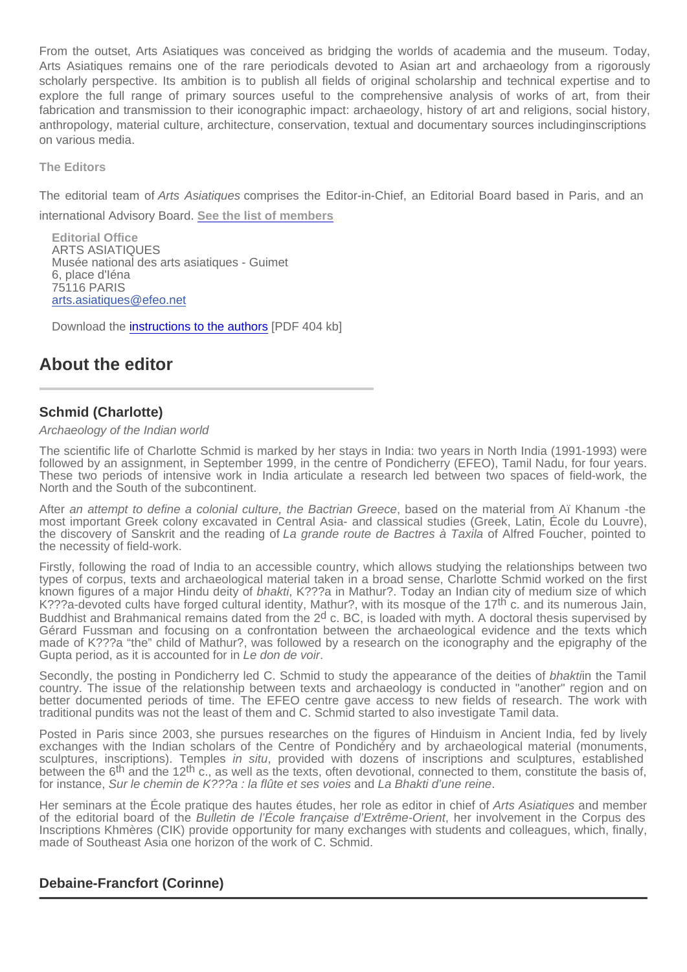From the outset, Arts Asiatiques was conceived as bridging the worlds of academia and the museum. Today, Arts Asiatiques remains one of the rare periodicals devoted to Asian art and archaeology from a rigorously scholarly perspective. Its ambition is to publish all fields of original scholarship and technical expertise and to explore the full range of primary sources useful to the comprehensive analysis of works of art, from their fabrication and transmission to their iconographic impact: archaeology, history of art and religions, social history, anthropology, material culture, architecture, conservation, textual and documentary sources includinginscriptions on various media.

The Editors

The editorial team of Arts Asiatiques comprises the Editor-in-Chief, an Editorial Board based in Paris, and an

international Advisory Board. [See the list of members](/uploaded/files/PDF EXPLICATIFS/AA_Instances_editoriales.pdf)

Editorial Office ARTS ASIATIQUES Musée national des arts asiatiques - Guimet 6, place d'Iéna 75116 PARIS [arts.asiatiques@efeo.net](mailto:arts.asiatiques@efeo.net)

Download the [instructions to the authors](/uploaded/files/PDF EXPLICATIFS/AA_Instructions_aux_auteurs.pdf) [PDF 404 kb]

## About the editor

### Schmid (Charlotte)

Archaeology of the Indian world

The scientific life of Charlotte Schmid is marked by her stays in India: two years in North India (1991-1993) were followed by an assignment, in September 1999, in the centre of Pondicherry (EFEO), Tamil Nadu, for four years. These two periods of intensive work in India articulate a research led between two spaces of field-work, the North and the South of the subcontinent.

After an attempt to define a colonial culture, the Bactrian Greece, based on the material from Aï Khanum -the most important Greek colony excavated in Central Asia- and classical studies (Greek, Latin, École du Louvre), the discovery of Sanskrit and the reading of La grande route de Bactres à Taxila of Alfred Foucher, pointed to the necessity of field-work.

Firstly, following the road of India to an accessible country, which allows studying the relationships between two types of corpus, texts and archaeological material taken in a broad sense, Charlotte Schmid worked on the first known figures of a major Hindu deity of bhakti, K???a in Mathur?. Today an Indian city of medium size of which K???a-devoted cults have forged cultural identity, Mathur?, with its mosque of the 17<sup>th</sup> c. and its numerous Jain, Buddhist and Brahmanical remains dated from the 2<sup>d</sup> c. BC, is loaded with myth. A doctoral thesis supervised by Gérard Fussman and focusing on a confrontation between the archaeological evidence and the texts which made of K???a "the" child of Mathur?, was followed by a research on the iconography and the epigraphy of the Gupta period, as it is accounted for in Le don de voir.

Secondly, the posting in Pondicherry led C. Schmid to study the appearance of the deities of bhaktiin the Tamil country. The issue of the relationship between texts and archaeology is conducted in "another" region and on better documented periods of time. The EFEO centre gave access to new fields of research. The work with traditional pundits was not the least of them and C. Schmid started to also investigate Tamil data.

Posted in Paris since 2003, she pursues researches on the figures of Hinduism in Ancient India, fed by lively exchanges with the Indian scholars of the Centre of Pondichéry and by archaeological material (monuments, sculptures, inscriptions). Temples in situ, provided with dozens of inscriptions and sculptures, established between the 6<sup>th</sup> and the 12<sup>th</sup> c., as well as the texts, often devotional, connected to them, constitute the basis of, for instance, Sur le chemin de K???a : la flûte et ses voies and La Bhakti d'une reine.

Her seminars at the École pratique des hautes études, her role as editor in chief of Arts Asiatiques and member of the editorial board of the Bulletin de l'École française d'Extrême-Orient, her involvement in the Corpus des Inscriptions Khmères (CIK) provide opportunity for many exchanges with students and colleagues, which, finally, made of Southeast Asia one horizon of the work of C. Schmid.

### Debaine-Francfort (Corinne)